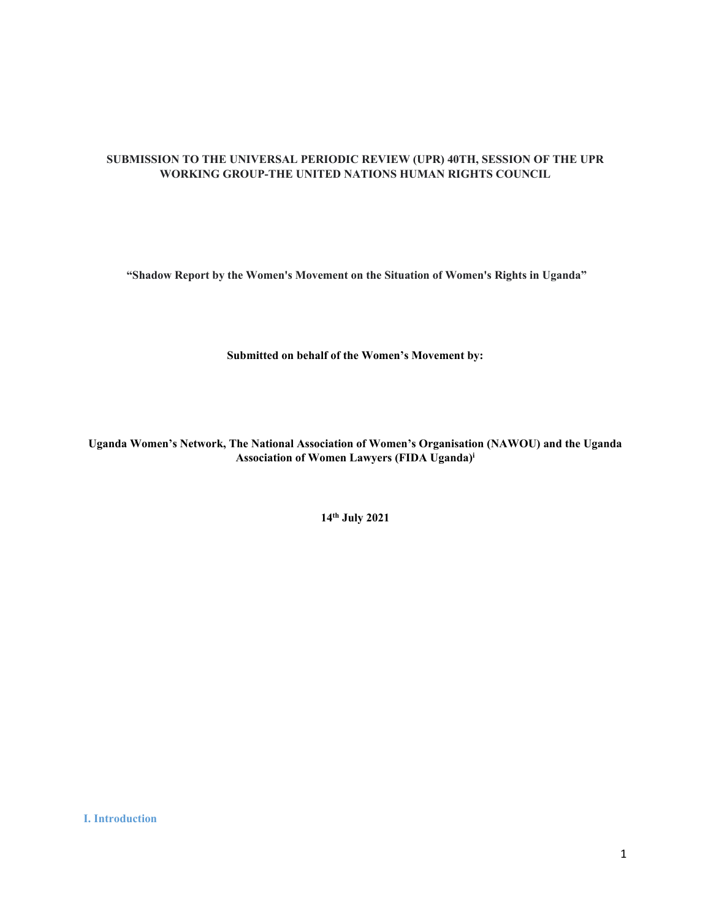# **SUBMISSION TO THE UNIVERSAL PERIODIC REVIEW (UPR) 40TH, SESSION OF THE UPR WORKING GROUP-THE UNITED NATIONS HUMAN RIGHTS COUNCIL**

**"Shadow Report by the Women's Movement on the Situation of Women's Rights in Uganda"**

**Submitted on behalf of the Women'<sup>s</sup> Movement by:**

**Uganda Women'<sup>s</sup> Network, The National Association of Women'<sup>s</sup> Organisation (NAWOU) and the Uganda Association of Women Lawyers (FIDA Uganda) i**

**14th July 2021**

**I. Introduction**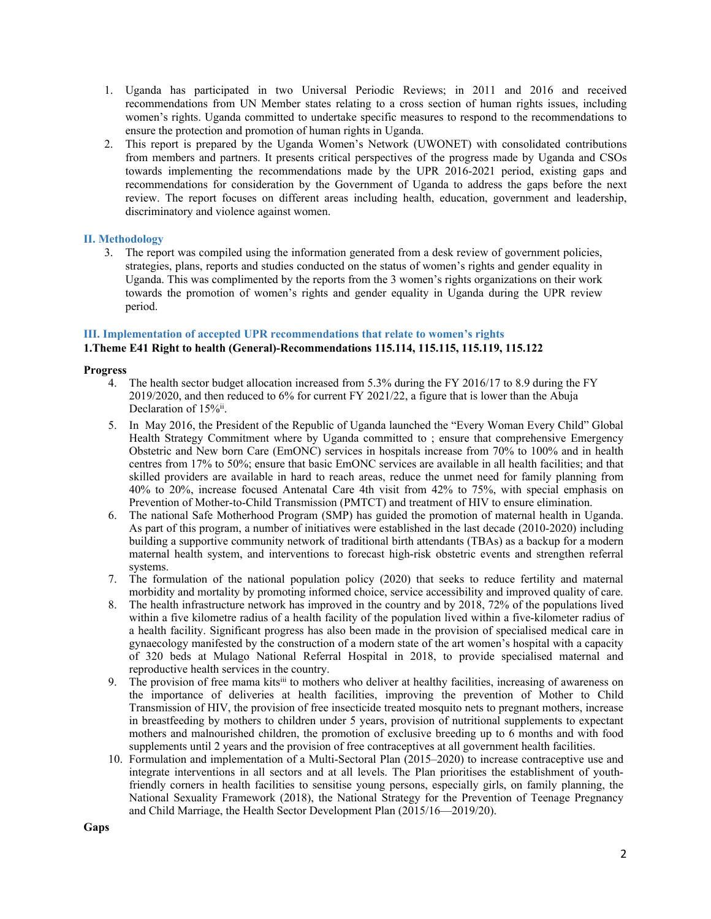- 1. Uganda has participated in two Universal Periodic Reviews; in 2011 and 2016 and received recommendations from UN Member states relating to <sup>a</sup> cross section of human rights issues, including women'<sup>s</sup> rights. Uganda committed to undertake specific measures to respond to the recommendations to ensure the protection and promotion of human rights in Uganda.
- 2. This repor<sup>t</sup> is prepared by the Uganda Women'<sup>s</sup> Network (UWONET) with consolidated contributions from members and partners. It presents critical perspectives of the progress made by Uganda and CSOs towards implementing the recommendations made by the UPR 2016-2021 period, existing gaps and recommendations for consideration by the Government of Uganda to address the gaps before the next review. The repor<sup>t</sup> focuses on different areas including health, education, governmen<sup>t</sup> and leadership, discriminatory and violence against women.

# **II. Methodology**

3. The repor<sup>t</sup> was compiled using the information generated from <sup>a</sup> desk review of governmen<sup>t</sup> policies, strategies, plans, reports and studies conducted on the status of women'<sup>s</sup> rights and gender equality in Uganda. This was complimented by the reports from the 3 women'<sup>s</sup> rights organizations on their work towards the promotion of women'<sup>s</sup> rights and gender equality in Uganda during the UPR review period.

# **III. Implementation of accepted UPR recommendations that relate to women'<sup>s</sup> rights**

# **1.Theme E41 Right to health (General)-Recommendations 115.114, 115.115, 115.119, 115.122**

## **Progress**

- 4. The health sector budget allocation increased from 5.3% during the FY 2016/17 to 8.9 during the FY 2019/2020, and then reduced to 6% for current FY 2021/22, <sup>a</sup> figure that is lower than the Abuja Declaration of 15%ii.
- 5. In May 2016, the President of the Republic of Uganda launched the "Every Woman Every Child" Global Health Strategy Commitment where by Uganda committed to ; ensure that comprehensive Emergency Obstetric and New born Care (EmONC) services in hospitals increase from 70% to 100% and in health centres from 17% to 50%; ensure that basic EmONC services are available in all health facilities; and that skilled providers are available in hard to reach areas, reduce the unmet need for family planning from 40% to 20%, increase focused Antenatal Care 4th visit from 42% to 75%, with special emphasis on Prevention of Mother-to-Child Transmission (PMTCT) and treatment of HIV to ensure elimination.
- 6. The national Safe Motherhood Program (SMP) has guided the promotion of maternal health in Uganda. As par<sup>t</sup> of this program, <sup>a</sup> number of initiatives were established in the last decade (2010-2020) including building <sup>a</sup> supportive community network of traditional birth attendants (TBAs) as <sup>a</sup> backup for <sup>a</sup> modern maternal health system, and interventions to forecast high-risk obstetric events and strengthen referral systems.
- 7. The formulation of the national population policy (2020) that seeks to reduce fertility and maternal morbidity and mortality by promoting informed choice, service accessibility and improved quality of care.
- 8. The health infrastructure network has improved in the country and by 2018, 72% of the populations lived within <sup>a</sup> five kilometre radius of <sup>a</sup> health facility of the population lived within <sup>a</sup> five-kilometer radius of <sup>a</sup> health facility. Significant progress has also been made in the provision of specialised medical care in gynaecology manifested by the construction of <sup>a</sup> modern state of the art women'<sup>s</sup> hospital with <sup>a</sup> capacity of 320 beds at Mulago National Referral Hospital in 2018, to provide specialised maternal and reproductive health services in the country.
- 9. The provision of free mama kits<sup>iii</sup> to mothers who deliver at healthy facilities, increasing of awareness on the importance of deliveries at health facilities, improving the prevention of Mother to Child Transmission of HIV, the provision of free insecticide treated mosquito nets to pregnan<sup>t</sup> mothers, increase in breastfeeding by mothers to children under 5 years, provision of nutritional supplements to expectant mothers and malnourished children, the promotion of exclusive breeding up to 6 months and with food supplements until 2 years and the provision of free contraceptives at all governmen<sup>t</sup> health facilities.
- 10. Formulation and implementation of <sup>a</sup> Multi-Sectoral Plan (2015–2020) to increase contraceptive use and integrate interventions in all sectors and at all levels. The Plan prioritises the establishment of youthfriendly corners in health facilities to sensitise young persons, especially girls, on family planning, the National Sexuality Framework (2018), the National Strategy for the Prevention of Teenage Pregnancy and Child Marriage, the Health Sector Development Plan (2015/16—2019/20).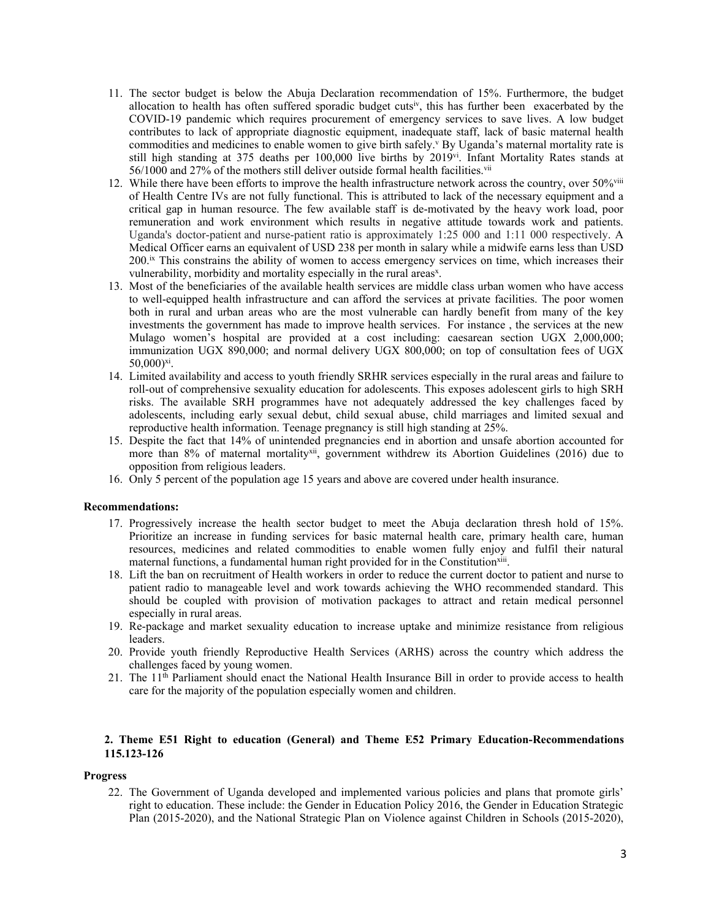- 11. The sector budget is below the Abuja Declaration recommendation of 15%. Furthermore, the budget allocation to health has often suffered sporadic budget cuts<sup>iv</sup>, this has further been exacerbated by the COVID-19 pandemic which requires procuremen<sup>t</sup> of emergency services to save lives. A low budget contributes to lack of appropriate diagnostic equipment, inadequate staff, lack of basic maternal health commodities and medicines to enable women to give birth safely. <sup>v</sup> By Uganda'<sup>s</sup> maternal mortality rate is still high standing at 375 deaths per 100,000 live births by 2019vi . Infant Mortality Rates stands at  $56/1000$  and 27% of the mothers still deliver outside formal health facilities.  $\ddot{ }$
- 12. While there have been efforts to improve the health infrastructure network across the country, over 50%<sup>viii</sup> of Health Centre IVs are not fully functional. This is attributed to lack of the necessary equipment and <sup>a</sup> critical gap in human resource. The few available staff is de-motivated by the heavy work load, poor remuneration and work environment which results in negative attitude towards work and patients. Uganda's doctor-patient and nurse-patient ratio is approximately 1:25 000 and 1:11 000 respectively. A Medical Officer earns an equivalent of USD 238 per month in salary while <sup>a</sup> midwife earns less than USD 200.<sup>ix</sup> This constrains the ability of women to access emergency services on time, which increases their vulnerability, morbidity and mortality especially in the rural areas<sup>x</sup>.
- 13. Most of the beneficiaries of the available health services are middle class urban women who have access to well-equipped health infrastructure and can afford the services at private facilities. The poor women both in rural and urban areas who are the most vulnerable can hardly benefit from many of the key investments the governmen<sup>t</sup> has made to improve health services. For instance , the services at the new Mulago women'<sup>s</sup> hospital are provided at <sup>a</sup> cost including: caesarean section UGX 2,000,000; immunization UGX 890,000; and normal delivery UGX 800,000; on top of consultation fees of UGX 50,000) xi .
- 14. Limited availability and access to youth friendly SRHR services especially in the rural areas and failure to roll-out of comprehensive sexuality education for adolescents. This exposes adolescent girls to high SRH risks. The available SRH programmes have not adequately addressed the key challenges faced by adolescents, including early sexual debut, child sexual abuse, child marriages and limited sexual and reproductive health information. Teenage pregnancy is still high standing at 25%.
- 15. Despite the fact that 14% of unintended pregnancies end in abortion and unsafe abortion accounted for more than 8% of maternal mortality<sup>xii</sup>, government withdrew its Abortion Guidelines (2016) due to opposition from religious leaders.
- 16. Only 5 percen<sup>t</sup> of the population age 15 years and above are covered under health insurance.

#### **Recommendations:**

- 17. Progressively increase the health sector budget to meet the Abuja declaration thresh hold of 15%. Prioritize an increase in funding services for basic maternal health care, primary health care, human resources, medicines and related commodities to enable women fully enjoy and fulfil their natural maternal functions, a fundamental human right provided for in the Constitution<sup>xiii</sup>.
- 18. Lift the ban on recruitment of Health workers in order to reduce the current doctor to patient and nurse to patient radio to manageable level and work towards achieving the WHO recommended standard. This should be coupled with provision of motivation packages to attract and retain medical personnel especially in rural areas.
- 19. Re-package and market sexuality education to increase uptake and minimize resistance from religious leaders.
- 20. Provide youth friendly Reproductive Health Services (ARHS) across the country which address the challenges faced by young women.
- 21. The 11<sup>th</sup> Parliament should enact the National Health Insurance Bill in order to provide access to health care for the majority of the population especially women and children.

# **2. Theme E51 Right to education (General) and Theme E52 Primary Education-Recommendations 115.123-126**

#### **Progress**

22. The Government of Uganda developed and implemented various policies and plans that promote girls' right to education. These include: the Gender in Education Policy 2016, the Gender in Education Strategic Plan (2015-2020), and the National Strategic Plan on Violence against Children in Schools (2015-2020),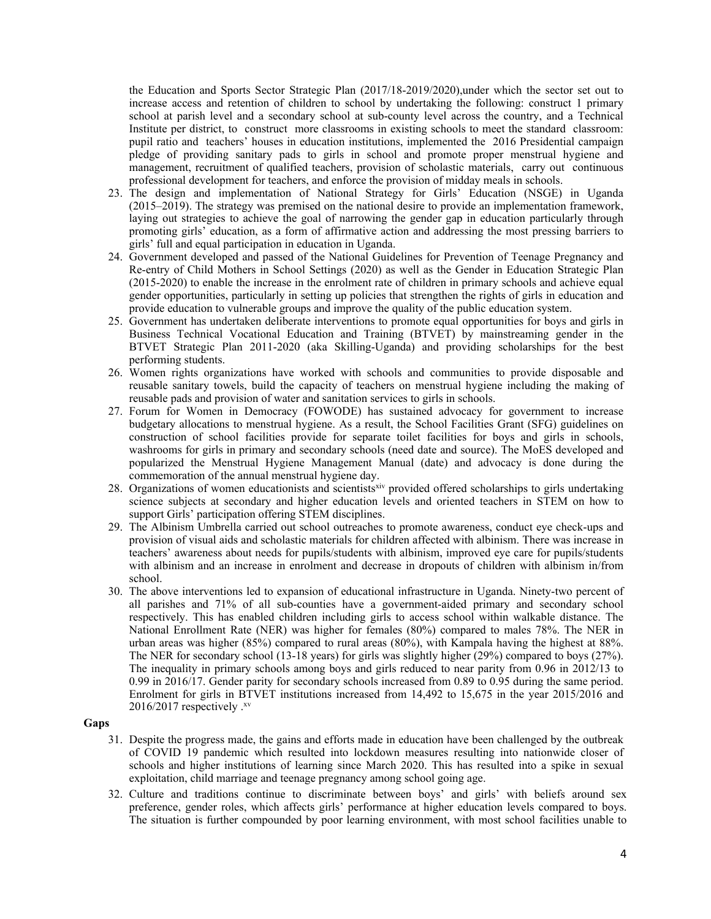the Education and Sports Sector Strategic Plan (2017/18-2019/2020),under which the sector set out to increase access and retention of children to school by undertaking the following: construct 1 primary school at parish level and <sup>a</sup> secondary school at sub-county level across the country, and <sup>a</sup> Technical Institute per district, to construct more classrooms in existing schools to meet the standard classroom: pupil ratio and teachers' houses in education institutions, implemented the 2016 Presidential campaign pledge of providing sanitary pads to girls in school and promote proper menstrual hygiene and management, recruitment of qualified teachers, provision of scholastic materials, carry out continuous professional development for teachers, and enforce the provision of midday meals in schools.

- 23. The design and implementation of National Strategy for Girls' Education (NSGE) in Uganda (2015–2019). The strategy was premised on the national desire to provide an implementation framework, laying out strategies to achieve the goal of narrowing the gender gap in education particularly through promoting girls' education, as <sup>a</sup> form of affirmative action and addressing the most pressing barriers to girls' full and equal participation in education in Uganda.
- 24. Government developed and passed of the National Guidelines for Prevention of Teenage Pregnancy and Re-entry of Child Mothers in School Settings (2020) as well as the Gender in Education Strategic Plan (2015-2020) to enable the increase in the enrolment rate of children in primary schools and achieve equal gender opportunities, particularly in setting up policies that strengthen the rights of girls in education and provide education to vulnerable groups and improve the quality of the public education system.
- 25. Government has undertaken deliberate interventions to promote equal opportunities for boys and girls in Business Technical Vocational Education and Training (BTVET) by mainstreaming gender in the BTVET Strategic Plan 2011-2020 (aka Skilling-Uganda) and providing scholarships for the best performing students.
- 26. Women rights organizations have worked with schools and communities to provide disposable and reusable sanitary towels, build the capacity of teachers on menstrual hygiene including the making of reusable pads and provision of water and sanitation services to girls in schools.
- 27. Forum for Women in Democracy (FOWODE) has sustained advocacy for governmen<sup>t</sup> to increase budgetary allocations to menstrual hygiene. As <sup>a</sup> result, the School Facilities Grant (SFG) guidelines on construction of school facilities provide for separate toilet facilities for boys and girls in schools, washrooms for girls in primary and secondary schools (need date and source). The MoES developed and popularized the Menstrual Hygiene Management Manual (date) and advocacy is done during the commemoration of the annual menstrual hygiene day.
- 28. Organizations of women educationists and scientists<sup>xiv</sup> provided offered scholarships to girls undertaking science subjects at secondary and higher education levels and oriented teachers in STEM on how to suppor<sup>t</sup> Girls' participation offering STEM disciplines.
- 29. The Albinism Umbrella carried out school outreaches to promote awareness, conduct eye check-ups and provision of visual aids and scholastic materials for children affected with albinism. There was increase in teachers' awareness about needs for pupils/students with albinism, improved eye care for pupils/students with albinism and an increase in enrolment and decrease in dropouts of children with albinism in/from school.
- 30. The above interventions led to expansion of educational infrastructure in Uganda. Ninety-two percen<sup>t</sup> of all parishes and 71% of all sub-counties have <sup>a</sup> government-aided primary and secondary school respectively. This has enabled children including girls to access school within walkable distance. The National Enrollment Rate (NER) was higher for females (80%) compared to males 78%. The NER in urban areas was higher (85%) compared to rural areas (80%), with Kampala having the highest at 88%. The NER for secondary school (13-18 years) for girls was slightly higher (29%) compared to boys (27%). The inequality in primary schools among boys and girls reduced to near parity from 0.96 in 2012/13 to 0.99 in 2016/17. Gender parity for secondary schools increased from 0.89 to 0.95 during the same period. Enrolment for girls in BTVET institutions increased from 14,492 to 15,675 in the year 2015/2016 and <sup>2016/2017</sup> respectively .<sup>xv</sup>

### **Gaps**

- 31. Despite the progress made, the gains and efforts made in education have been challenged by the outbreak of COVID 19 pandemic which resulted into lockdown measures resulting into nationwide closer of schools and higher institutions of learning since March 2020. This has resulted into <sup>a</sup> spike in sexual exploitation, child marriage and teenage pregnancy among school going age.
- 32. Culture and traditions continue to discriminate between boys' and girls' with beliefs around sex preference, gender roles, which affects girls' performance at higher education levels compared to boys. The situation is further compounded by poor learning environment, with most school facilities unable to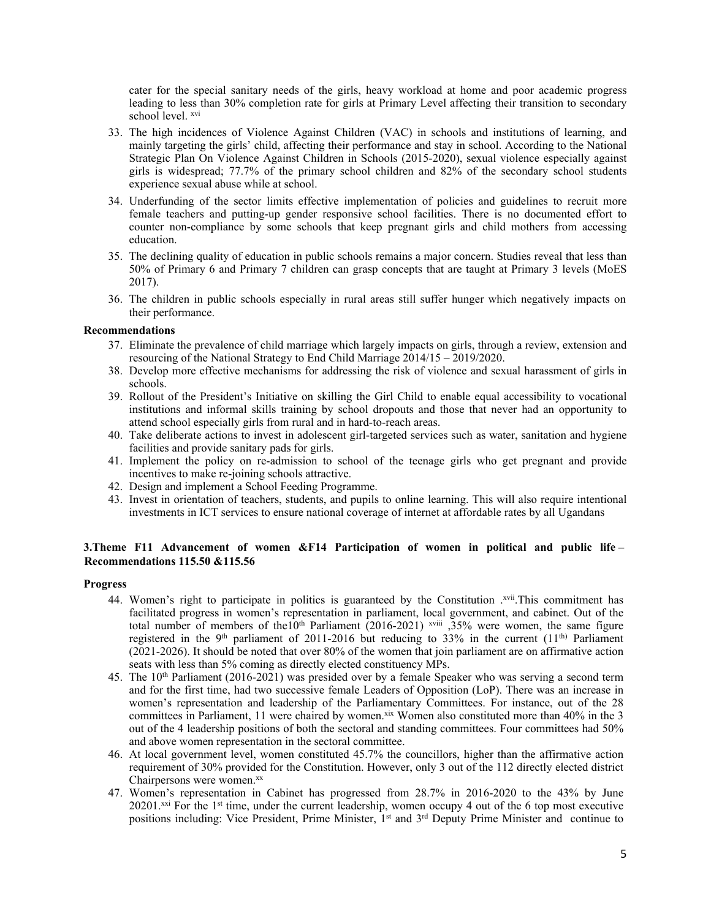cater for the special sanitary needs of the girls, heavy workload at home and poor academic progress leading to less than 30% completion rate for girls at Primary Level affecting their transition to secondary school level. <sup>xvi</sup>

- 33. The high incidences of Violence Against Children (VAC) in schools and institutions of learning, and mainly targeting the girls' child, affecting their performance and stay in school. According to the National Strategic Plan On Violence Against Children in Schools (2015-2020), sexual violence especially against girls is widespread; 77.7% of the primary school children and 82% of the secondary school students experience sexual abuse while at school.
- 34. Underfunding of the sector limits effective implementation of policies and guidelines to recruit more female teachers and putting-up gender responsive school facilities. There is no documented effort to counter non-compliance by some schools that keep pregnan<sup>t</sup> girls and child mothers from accessing education.
- 35. The declining quality of education in public schools remains <sup>a</sup> major concern. Studies reveal that less than 50% of Primary 6 and Primary 7 children can grasp concepts that are taught at Primary 3 levels (MoES 2017).
- 36. The children in public schools especially in rural areas still suffer hunger which negatively impacts on their performance.

## **Recommendations**

- 37. Eliminate the prevalence of child marriage which largely impacts on girls, through <sup>a</sup> review, extension and resourcing of the National Strategy to End Child Marriage 2014/15 – 2019/2020.
- 38. Develop more effective mechanisms for addressing the risk of violence and sexual harassment of girls in schools.
- 39. Rollout of the President'<sup>s</sup> Initiative on skilling the Girl Child to enable equal accessibility to vocational institutions and informal skills training by school dropouts and those that never had an opportunity to attend school especially girls from rural and in hard-to-reach areas.
- 40. Take deliberate actions to invest in adolescent girl-targeted services such as water, sanitation and hygiene facilities and provide sanitary pads for girls.
- 41. Implement the policy on re-admission to school of the teenage girls who ge<sup>t</sup> pregnan<sup>t</sup> and provide incentives to make re-joining schools attractive.
- 42. Design and implement <sup>a</sup> School Feeding Programme.
- 43. Invest in orientation of teachers, students, and pupils to online learning. This will also require intentional investments in ICT services to ensure national coverage of internet at affordable rates by all Ugandans

# **3.Theme F11 Advancement of women &F14 Participation of women in political and public life – Recommendations 115.50 &115.56**

#### **Progress**

- 44. Women's right to participate in politics is guaranteed by the Constitution .<sup>xvii</sup>.This commitment has facilitated progress in women'<sup>s</sup> representation in parliament, local government, and cabinet. Out of the total number of members of the 10<sup>th</sup> Parliament (2016-2021) <sup>xviii</sup> , 35% were women, the same figure registered in the 9<sup>th</sup> parliament of 2011-2016 but reducing to 33% in the current  $(11<sup>th</sup>)$  Parliament (2021-2026). It should be noted that over 80% of the women that join parliament are on affirmative action seats with less than 5% coming as directly elected constituency MPs.
- 45. The 10<sup>th</sup> Parliament (2016-2021) was presided over by a female Speaker who was serving a second term and for the first time, had two successive female Leaders of Opposition (LoP). There was an increase in women'<sup>s</sup> representation and leadership of the Parliamentary Committees. For instance, out of the 28 committees in Parliament, 11 were chaired by women.<sup>xix</sup> Women also constituted more than 40% in the 3 out of the 4 leadership positions of both the sectoral and standing committees. Four committees had 50% and above women representation in the sectoral committee.
- 46. At local governmen<sup>t</sup> level, women constituted 45.7% the councillors, higher than the affirmative action requirement of 30% provided for the Constitution. However, only 3 out of the 112 directly elected district Chairpersons were women.<sup>xx</sup>
- 47. Women'<sup>s</sup> representation in Cabinet has progressed from 28.7% in 2016-2020 to the 43% by June 20201.<sup>xxi</sup> For the 1<sup>st</sup> time, under the current leadership, women occupy 4 out of the 6 top most executive positions including: Vice President, Prime Minister, 1<sup>st</sup> and 3<sup>rd</sup> Deputy Prime Minister and continue to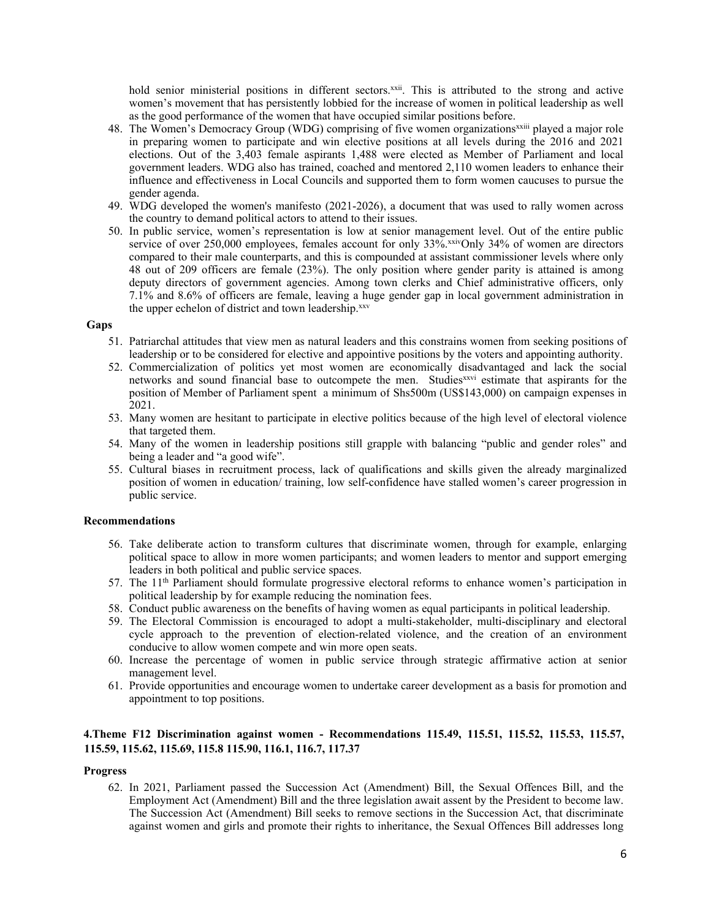hold senior ministerial positions in different sectors.<sup>xxii</sup>. This is attributed to the strong and active women'<sup>s</sup> movement that has persistently lobbied for the increase of women in political leadership as well as the good performance of the women that have occupied similar positions before.

- 48. The Women's Democracy Group (WDG) comprising of five women organizations<sup>xxiii</sup> played a major role in preparing women to participate and win elective positions at all levels during the 2016 and 2021 elections. Out of the 3,403 female aspirants 1,488 were elected as Member of Parliament and local governmen<sup>t</sup> leaders. WDG also has trained, coached and mentored 2,110 women leaders to enhance their influence and effectiveness in Local Councils and supported them to form women caucuses to pursue the gender agenda.
- 49. WDG developed the women's manifesto (2021-2026), <sup>a</sup> document that was used to rally women across the country to demand political actors to attend to their issues.
- 50. In public service, women'<sup>s</sup> representation is low at senior managemen<sup>t</sup> level. Out of the entire public service of over 250,000 employees, females account for only 33% xivOnly 34% of women are directors compared to their male counterparts, and this is compounded at assistant commissioner levels where only 48 out of 209 officers are female (23%). The only position where gender parity is attained is among deputy directors of governmen<sup>t</sup> agencies. Among town clerks and Chief administrative officers, only 7.1% and 8.6% of officers are female, leaving <sup>a</sup> huge gender gap in local governmen<sup>t</sup> administration in the upper echelon of district and town leadership. xxv

### **Gaps**

- 51. Patriarchal attitudes that view men as natural leaders and this constrains women from seeking positions of leadership or to be considered for elective and appointive positions by the voters and appointing authority.
- 52. Commercialization of politics ye<sup>t</sup> most women are economically disadvantaged and lack the social networks and sound financial base to outcompete the men. Studies<sup>xxvi</sup> estimate that aspirants for the position of Member of Parliament spen<sup>t</sup> <sup>a</sup> minimum of Shs500m (US\$143,000) on campaign expenses in 2021.
- 53. Many women are hesitant to participate in elective politics because of the high level of electoral violence that targeted them.
- 54. Many of the women in leadership positions still grapple with balancing "public and gender roles" and being <sup>a</sup> leader and "<sup>a</sup> good wife".
- 55. Cultural biases in recruitment process, lack of qualifications and skills given the already marginalized position of women in education/ training, low self-confidence have stalled women'<sup>s</sup> career progression in public service.

### **Recommendations**

- 56. Take deliberate action to transform cultures that discriminate women, through for example, enlarging political space to allow in more women participants; and women leaders to mentor and suppor<sup>t</sup> emerging leaders in both political and public service spaces.
- 57. The  $11<sup>th</sup>$  Parliament should formulate progressive electoral reforms to enhance women's participation in political leadership by for example reducing the nomination fees.
- 58. Conduct public awareness on the benefits of having women as equal participants in political leadership.
- 59. The Electoral Commission is encouraged to adopt <sup>a</sup> multi-stakeholder, multi-disciplinary and electoral cycle approach to the prevention of election-related violence, and the creation of an environment conducive to allow women compete and win more open seats.
- 60. Increase the percentage of women in public service through strategic affirmative action at senior managemen<sup>t</sup> level.
- 61. Provide opportunities and encourage women to undertake career development as <sup>a</sup> basis for promotion and appointment to top positions.

# **4.Theme F12 Discrimination against women - Recommendations 115.49, 115.51, 115.52, 115.53, 115.57, 115.59, 115.62, 115.69, 115.8 115.90, 116.1, 116.7, 117.37**

#### **Progress**

62. In 2021, Parliament passed the Succession Act (Amendment) Bill, the Sexual Offences Bill, and the Employment Act (Amendment) Bill and the three legislation await assent by the President to become law. The Succession Act (Amendment) Bill seeks to remove sections in the Succession Act, that discriminate against women and girls and promote their rights to inheritance, the Sexual Offences Bill addresses long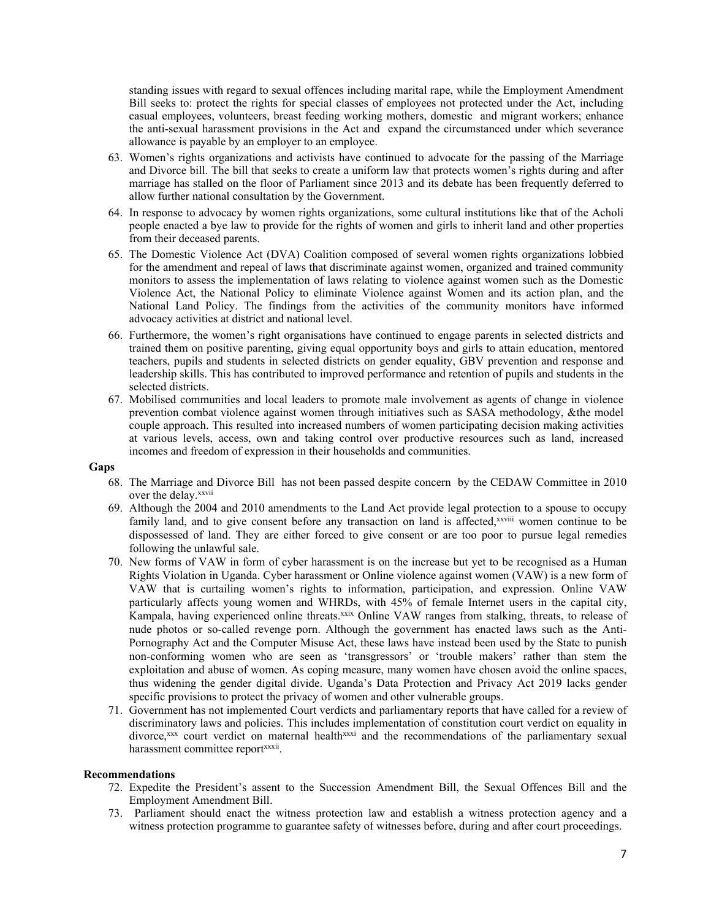standing issues with regard to sexual offences including marital rape, while the Employment Amendment Bill seeks to: protect the rights for special classes of employees not protected under the Act, including casual employees, volunteers, breast feeding working mothers, domestic and migrant workers; enhance the anti-sexual harassment provisions in the Act and expand the circumstanced under which severance allowance is payable by an employer to an employee.

- 63. Women'<sup>s</sup> rights organizations and activists have continued to advocate for the passing of the Marriage and Divorce bill. The bill that seeks to create <sup>a</sup> uniform law that protects women'<sup>s</sup> rights during and after marriage has stalled on the floor of Parliament since 2013 and its debate has been frequently deferred to allow further national consultation by the Government.
- 64. In response to advocacy by women rights organizations, some cultural institutions like that of the Acholi people enacted <sup>a</sup> bye law to provide for the rights of women and girls to inherit land and other properties from their deceased parents.
- 65. The Domestic Violence Act (DVA) Coalition composed of several women rights organizations lobbied for the amendment and repeal of laws that discriminate against women, organized and trained community monitors to assess the implementation of laws relating to violence against women such as the Domestic Violence Act, the National Policy to eliminate Violence against Women and its action plan, and the National Land Policy. The findings from the activities of the community monitors have informed advocacy activities at district and national level.
- 66. Furthermore, the women'<sup>s</sup> right organisations have continued to engage parents in selected districts and trained them on positive parenting, giving equal opportunity boys and girls to attain education, mentored teachers, pupils and students in selected districts on gender equality, GBV prevention and response and leadership skills. This has contributed to improved performance and retention of pupils and students in the selected districts.
- 67. Mobilised communities and local leaders to promote male involvement as agents of change in violence prevention combat violence against women through initiatives such as SASA methodology, &the model couple approach. This resulted into increased numbers of women participating decision making activities at various levels, access, own and taking control over productive resources such as land, increased incomes and freedom of expression in their households and communities.

## **Gaps**

- 68. The Marriage and Divorce Bill has not been passed despite concern by the CEDAW Committee in 2010 over the delay. xxvii
- 69. Although the 2004 and 2010 amendments to the Land Act provide legal protection to <sup>a</sup> spouse to occupy family land, and to give consent before any transaction on land is affected,<sup>xxviii</sup> women continue to be dispossessed of land. They are either forced to give consent or are too poor to pursue legal remedies following the unlawful sale.
- 70. New forms of VAW in form of cyber harassment is on the increase but ye<sup>t</sup> to be recognised as <sup>a</sup> Human Rights Violation in Uganda. Cyber harassment or Online violence against women (VAW) is <sup>a</sup> new form of VAW that is curtailing women'<sup>s</sup> rights to information, participation, and expression. Online VAW particularly affects young women and WHRDs, with 45% of female Internet users in the capital city, Kampala, having experienced online threats.<sup>xxix</sup> Online VAW ranges from stalking, threats, to release of nude photos or so-called revenge porn. Although the governmen<sup>t</sup> has enacted laws such as the Anti-Pornography Act and the Computer Misuse Act, these laws have instead been used by the State to punish non-conforming women who are seen as 'transgressors' or 'trouble makers' rather than stem the exploitation and abuse of women. As coping measure, many women have chosen avoid the online spaces, thus widening the gender digital divide. Uganda'<sup>s</sup> Data [Protection](http://parliamentwatch.ug/wp-content/uploads/2016/10/Data-Protection-and-Privacy-Bill-2015.pdf) and Privacy Act 2019 lacks gender specific provisions to protect the privacy of women and other vulnerable groups.
- 71. Government has not implemented Court verdicts and parliamentary reports that have called for <sup>a</sup> review of discriminatory laws and policies. This includes implementation of constitution court verdict on equality in divorce,<sup>xxx</sup> court verdict on maternal health<sup>xxxi</sup> and the recommendations of the parliamentary sexual harassment committee reportxxxii.

## **Recommendations**

- 72. Expedite the President'<sup>s</sup> assent to the Succession Amendment Bill, the Sexual Offences Bill and the Employment Amendment Bill.
- 73. Parliament should enact the witness protection law and establish <sup>a</sup> witness protection agency and <sup>a</sup> witness protection programme to guarantee safety of witnesses before, during and after court proceedings.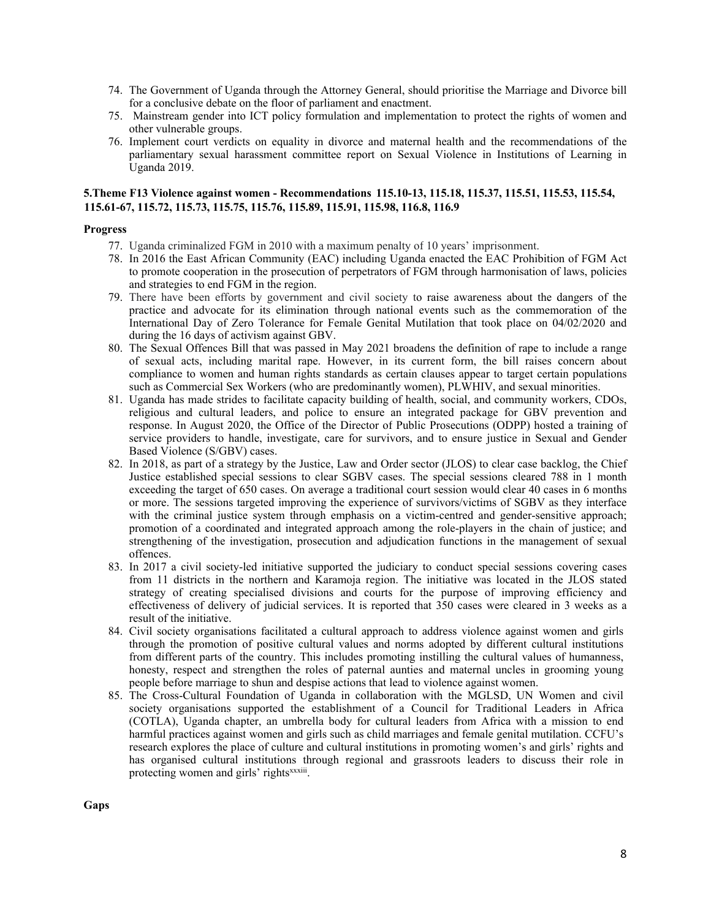- 74. The Government of Uganda through the Attorney General, should prioritise the Marriage and Divorce bill for <sup>a</sup> conclusive debate on the floor of parliament and enactment.
- 75. Mainstream gender into ICT policy formulation and implementation to protect the rights of women and other vulnerable groups.
- 76. Implement court verdicts on equality in divorce and maternal health and the recommendations of the parliamentary sexual harassment committee repor<sup>t</sup> on Sexual Violence in Institutions of Learning in Uganda 2019.

## **5.Theme F13 Violence against women - Recommendations 115.10-13, 115.18, 115.37, 115.51, 115.53, 115.54, 115.61-67, 115.72, 115.73, 115.75, 115.76, 115.89, 115.91, 115.98, 116.8, 116.9**

## **Progress**

- 77. Uganda criminalized FGM in 2010 with <sup>a</sup> maximum penalty of 10 years' imprisonment.
- 78. In 2016 the East African Community (EAC) including Uganda enacted the EAC Prohibition of FGM Act to promote cooperation in the prosecution of perpetrators of FGM through harmonisation of laws, policies and strategies to end FGM in the region.
- 79. There have been efforts by governmen<sup>t</sup> and civil society to raise awareness about the dangers of the practice and advocate for its elimination through national events such as the commemoration of the International Day of Zero Tolerance for Female Genital Mutilation that took place on 04/02/2020 and during the 16 days of activism against GBV.
- 80. The Sexual Offences Bill that was passed in May 2021 broadens the definition of rape to include <sup>a</sup> range of sexual acts, including marital rape. However, in its current form, the bill raises concern about compliance to women and human rights standards as certain clauses appear to target certain populations such as Commercial Sex Workers (who are predominantly women), PLWHIV, and sexual minorities.
- 81. Uganda has made strides to facilitate capacity building of health, social, and community workers, CDOs, religious and cultural leaders, and police to ensure an integrated package for GBV prevention and response. In August 2020, the Office of the Director of Public Prosecutions (ODPP) hosted <sup>a</sup> training of service providers to handle, investigate, care for survivors, and to ensure justice in Sexual and Gender Based Violence (S/GBV) cases.
- 82. In 2018, as par<sup>t</sup> of <sup>a</sup> strategy by the Justice, Law and Order sector (JLOS) to clear case backlog, the Chief Justice established special sessions to clear SGBV cases. The special sessions cleared 788 in 1 month exceeding the target of 650 cases. On average <sup>a</sup> traditional court session would clear 40 cases in 6 months or more. The sessions targeted improving the experience of survivors/victims of SGBV as they interface with the criminal justice system through emphasis on a victim-centred and gender-sensitive approach; promotion of <sup>a</sup> coordinated and integrated approach among the role-players in the chain of justice; and strengthening of the investigation, prosecution and adjudication functions in the managemen<sup>t</sup> of sexual offences.
- 83. In 2017 <sup>a</sup> civil society-led initiative supported the judiciary to conduct special sessions covering cases from 11 districts in the northern and Karamoja region. The initiative was located in the JLOS stated strategy of creating specialised divisions and courts for the purpose of improving efficiency and effectiveness of delivery of judicial services. It is reported that 350 cases were cleared in 3 weeks as <sup>a</sup> result of the initiative.
- 84. Civil society organisations facilitated <sup>a</sup> cultural approach to address violence against women and girls through the promotion of positive cultural values and norms adopted by different cultural institutions from different parts of the country. This includes promoting instilling the cultural values of humanness, honesty, respec<sup>t</sup> and strengthen the roles of paternal aunties and maternal uncles in grooming young people before marriage to shun and despise actions that lead to violence against women.
- 85. The Cross-Cultural Foundation of Uganda in collaboration with the MGLSD, UN Women and civil society organisations supported the establishment of <sup>a</sup> Council for Traditional Leaders in Africa (COTLA), Uganda chapter, an umbrella body for cultural leaders from Africa with <sup>a</sup> mission to end harmful practices against women and girls such as child marriages and female genital mutilation. CCFU'<sup>s</sup> research explores the place of culture and cultural institutions in promoting women'<sup>s</sup> and girls' rights and has organised cultural institutions through regional and grassroots leaders to discuss their role in protecting women and girls' rights<sup>xxxiii</sup>.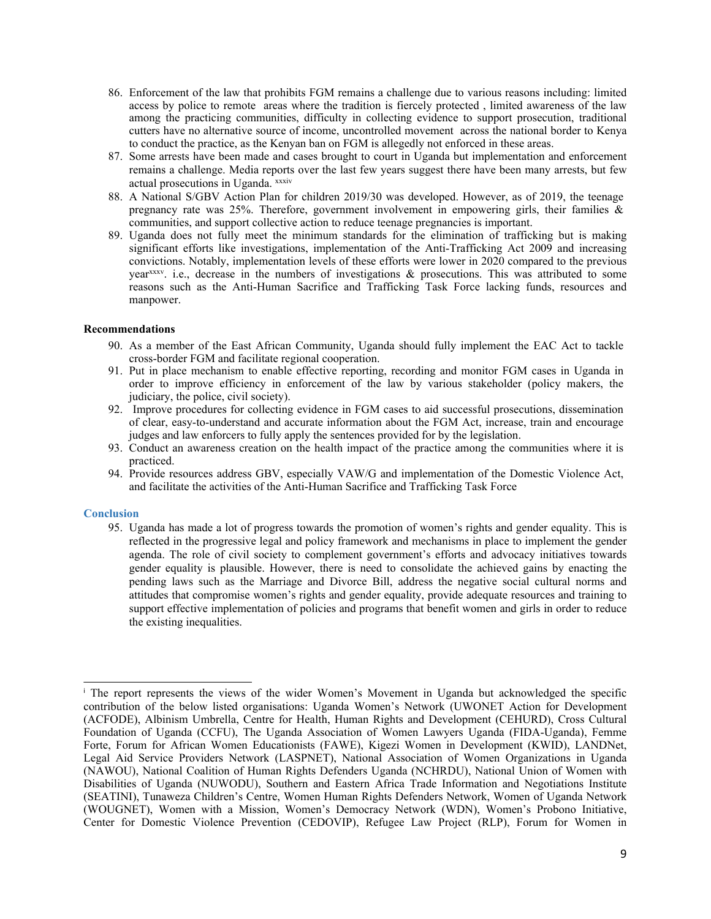- 86. Enforcement of the law that prohibits FGM remains <sup>a</sup> challenge due to various reasons including: limited access by police to remote areas where the tradition is fiercely protected , limited awareness of the law among the practicing communities, difficulty in collecting evidence to suppor<sup>t</sup> prosecution, traditional cutters have no alternative source of income, uncontrolled movement across the national border to Kenya to conduct the practice, as the Kenyan ban on FGM is allegedly not enforced in these areas.
- 87. Some arrests have been made and cases brought to court in Uganda but implementation and enforcement remains <sup>a</sup> challenge. Media reports over the last few years sugges<sup>t</sup> there have been many arrests, but few actual prosecutions in Uganda. xxxiv
- 88. A National S/GBV Action Plan for children 2019/30 was developed. However, as of 2019, the teenage pregnancy rate was 25%. Therefore, governmen<sup>t</sup> involvement in empowering girls, their families & communities, and suppor<sup>t</sup> collective action to reduce teenage pregnancies is important.
- 89. Uganda does not fully meet the minimum standards for the elimination of trafficking but is making significant efforts like investigations, implementation of the Anti-Trafficking Act 2009 and increasing convictions. Notably, implementation levels of these efforts were lower in 2020 compared to the previous year xxxv . i.e., decrease in the numbers of investigations & prosecutions. This was attributed to some reasons such as the Anti-Human Sacrifice and Trafficking Task Force lacking funds, resources and manpower.

## **Recommendations**

- 90. As <sup>a</sup> member of the East African Community, Uganda should fully implement the EAC Act to tackle cross-border FGM and facilitate regional cooperation.
- 91. Put in place mechanism to enable effective reporting, recording and monitor FGM cases in Uganda in order to improve efficiency in enforcement of the law by various stakeholder (policy makers, the judiciary, the police, civil society).
- 92. Improve procedures for collecting evidence in FGM cases to aid successful prosecutions, dissemination of clear, easy-to-understand and accurate information about the FGM Act, increase, train and encourage judges and law enforcers to fully apply the sentences provided for by the legislation.
- 93. Conduct an awareness creation on the health impact of the practice among the communities where it is practiced.
- 94. Provide resources address GBV, especially VAW/G and implementation of the Domestic Violence Act, and facilitate the activities of the Anti-Human Sacrifice and Trafficking Task Force

#### **Conclusion**

95. Uganda has made <sup>a</sup> lot of progress towards the promotion of women'<sup>s</sup> rights and gender equality. This is reflected in the progressive legal and policy framework and mechanisms in place to implement the gender agenda. The role of civil society to complement government'<sup>s</sup> efforts and advocacy initiatives towards gender equality is plausible. However, there is need to consolidate the achieved gains by enacting the pending laws such as the Marriage and Divorce Bill, address the negative social cultural norms and attitudes that compromise women'<sup>s</sup> rights and gender equality, provide adequate resources and training to suppor<sup>t</sup> effective implementation of policies and programs that benefit women and girls in order to reduce the existing inequalities.

i The repor<sup>t</sup> represents the views of the wider Women'<sup>s</sup> Movement in Uganda but acknowledged the specific contribution of the below listed organisations: Uganda Women'<sup>s</sup> Network (UWONET Action for Development (ACFODE), Albinism Umbrella, Centre for Health, Human Rights and Development (CEHURD), Cross Cultural Foundation of Uganda (CCFU), The Uganda Association of Women Lawyers Uganda (FIDA-Uganda), Femme Forte, Forum for African Women Educationists (FAWE), Kigezi Women in Development (KWID), LANDNet, Legal Aid Service Providers Network (LASPNET), National Association of Women Organizations in Uganda (NAWOU), National Coalition of Human Rights Defenders Uganda (NCHRDU), National Union of Women with Disabilities of Uganda (NUWODU), Southern and Eastern Africa Trade Information and Negotiations Institute (SEATINI), Tunaweza Children'<sup>s</sup> Centre, Women Human Rights Defenders Network, Women of Uganda Network (WOUGNET), Women with <sup>a</sup> Mission, Women'<sup>s</sup> Democracy Network (WDN), Women'<sup>s</sup> Probono Initiative, Center for Domestic Violence Prevention (CEDOVIP), Refugee Law Project (RLP), Forum for Women in